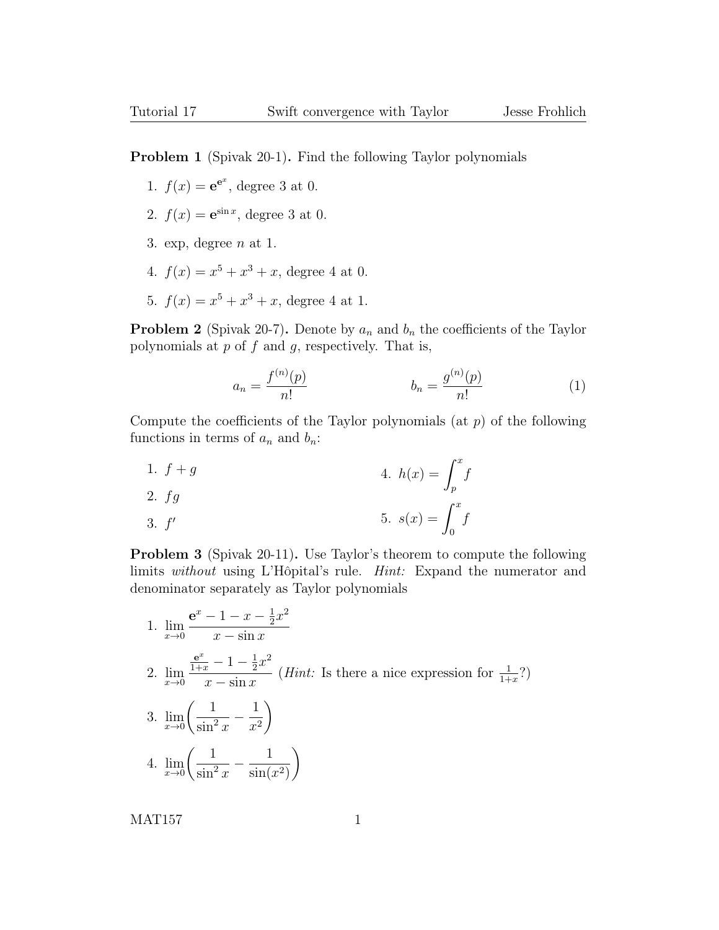**Problem 1** (Spivak 20-1). Find the following Taylor polynomials

- 1.  $f(x) = e^{e^x}$ , degree 3 at 0.
- 2.  $f(x) = e^{\sin x}$ , degree 3 at 0.
- 3. exp, degree  $n \text{ at } 1$ .
- 4.  $f(x) = x^5 + x^3 + x$ , degree 4 at 0.
- 5.  $f(x) = x^5 + x^3 + x$ , degree 4 at 1.

**Problem 2** (Spivak 20-7). Denote by  $a_n$  and  $b_n$  the coefficients of the Taylor polynomials at  $p$  of  $f$  and  $q$ , respectively. That is,

$$
a_n = \frac{f^{(n)}(p)}{n!} \qquad \qquad b_n = \frac{g^{(n)}(p)}{n!} \tag{1}
$$

Compute the coefficients of the Taylor polynomials (at  $p$ ) of the following functions in terms of  $a_n$  and  $b_n$ :

1.  $f + g$ 2.  $fa$ 4.  $h(x) = \int^x$ p f

3. 
$$
f'
$$
 5.  $s(x) = \int_0^x f$ 

Problem 3 (Spivak 20-11). Use Taylor's theorem to compute the following limits without using L'Hôpital's rule. Hint: Expand the numerator and denominator separately as Taylor polynomials

1.  $\lim_{x\to 0}$  $e^x - 1 - x - \frac{1}{2}$  $\frac{1}{2}x^2$  $x - \sin x$ 2.  $\lim_{x\to 0}$  $\frac{e^x}{1+x} - 1 - \frac{1}{2}$  $\frac{1}{2}x^2$  $x - \sin x$ (*Hint*: Is there a nice expression for  $\frac{1}{1+x}$ ?) 3.  $\lim_{x\to 0}$  $\begin{pmatrix} 1 \end{pmatrix}$  $\frac{1}{\sin^2 x} - \frac{1}{x^2}$  $x^2$  $\setminus$ 4.  $\lim_{x\to 0}$  $\begin{pmatrix} 1 \end{pmatrix}$  $\frac{1}{\sin^2 x} - \frac{1}{\sin(x)}$  $\sin(x^2)$  $\setminus$ 

MAT157 1